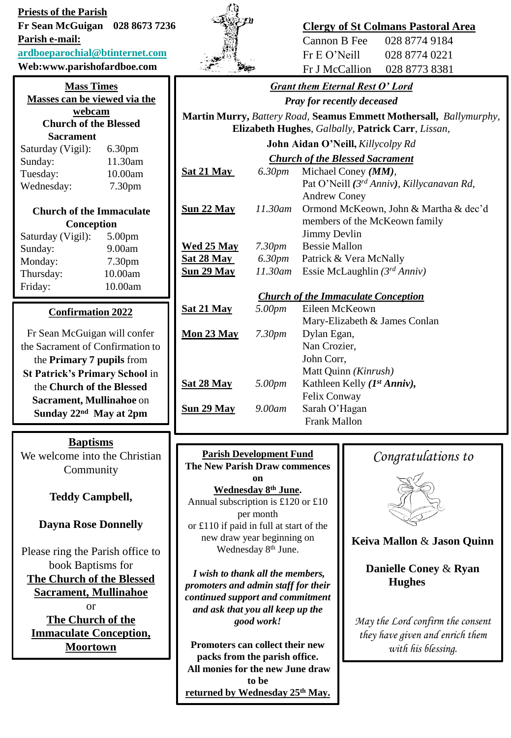**Priests of the Parish Fr Sean McGuigan 028 8673 7236** 

**Parish e-mail:**

### **[ardboeparochial@btinternet.com](mailto:ardboeparochial@btinternet.com)**

**Web:www.parishofardboe.com**

| <b>Mass Times</b>            |                    |  |
|------------------------------|--------------------|--|
| Masses can be viewed via the |                    |  |
| webcam                       |                    |  |
| <b>Church of the Blessed</b> |                    |  |
| <b>Sacrament</b>             |                    |  |
| Saturday (Vigil):            | 6.30 <sub>pm</sub> |  |

| Sunday:    | 11.30am |
|------------|---------|
| Tuesday:   | 10.00am |
| Wednesday: | 7.30pm  |

## **Church of the Immaculate Conception**

| Saturday (Vigil): | 5.00 <sub>pm</sub> |
|-------------------|--------------------|
| Sunday:           | 9.00am             |
| Monday:           | 7.30 <sub>pm</sub> |
| Thursday:         | 10.00am            |
| Friday:           | 10.00am            |
|                   |                    |

# **Confirmation 2022**

Fr Sean McGuigan will confer the Sacrament of Confirmation to the **Primary 7 pupils** from **St Patrick's Primary School** in the **Church of the Blessed Sacrament, Mullinahoe** on **Sunday 22nd May at 2pm**

## **Baptisms**

We welcome into the Christian Community

# **Teddy Campbell,**

**Dayna Rose Donnelly**

Please ring the Parish office to book Baptisms for **The Church of the Blessed Sacrament, Mullinahoe** or **The Church of the Immaculate Conception, Moortown**

# **Clergy of St Colmans Pastoral Area**

Pat O'Neill *(3 rd Anniv), Killycanavan Rd,*

members of the McKeown family

| Cannon B Fee   | 028 8774 9184 |
|----------------|---------------|
| Fr E O' Neill  | 028 8774 0221 |
| Fr J McCallion | 028 8773 8381 |

## *Grant them Eternal Rest O' Lord*

*Pray for recently deceased* **Martin Murry,** *Battery Road,* **Seamus Emmett Mothersall,** *Ballymurphy,*  **Elizabeth Hughes***, Galbally,* **Patrick Carr**, *Lissan,*  **John Aidan O'Neill,** *Killycolpy Rd Church of the Blessed Sacrament*

Andrew Coney

Jimmy Devlin

**Sat 21 May** *6.30pm* Michael Coney *(MM),*

**Sun 22 May** *11.30am* Ormond McKeown, John & Martha & dec'd **Wed 25 May** *7.30pm* Bessie Mallon **Sat 28 May** *6.30pm* Patrick & Vera McNally

**Sun 29 May** *11.30am* Essie McLaughlin *(3rd Anniv)*

### *Church of the Immaculate Conception*

| Sat 21 May         | 5.00pm         | Eileen McKeown                    |
|--------------------|----------------|-----------------------------------|
|                    |                | Mary-Elizabeth & James Conlan     |
| <u> Mon 23 May</u> | 7.30 <i>pm</i> | Dylan Egan,                       |
|                    |                | Nan Crozier,                      |
|                    |                | John Corr,                        |
|                    |                | Matt Quinn <i>(Kinrush)</i>       |
| Sa <u>t 28 May</u> | 5.00pm         | Kathleen Kelly $(I^{st} Anniv)$ , |
|                    |                | Felix Conway                      |
| <u>Sun 29 May</u>  | 9.00am         | Sarah O'Hagan                     |
|                    |                | Frank Mallon                      |

#### **Parish Development Fund The New Parish Draw commences on Wednesday 8th June.**

Annual subscription is £120 or £10 per month or £110 if paid in full at start of the new draw year beginning on Wednesday 8<sup>th</sup> June.

*I wish to thank all the members, promoters and admin staff for their continued support and commitment and ask that you all keep up the good work!*

**Promoters can collect their new packs from the parish office. All monies for the new June draw to be returned by Wednesday 25th May.**

# *Congratulations to*



## **Keiva Mallon** & **Jason Quinn**

**Danielle Coney** & **Ryan Hughes**

*May the Lord confirm the consent they have given and enrich them with his blessing.*